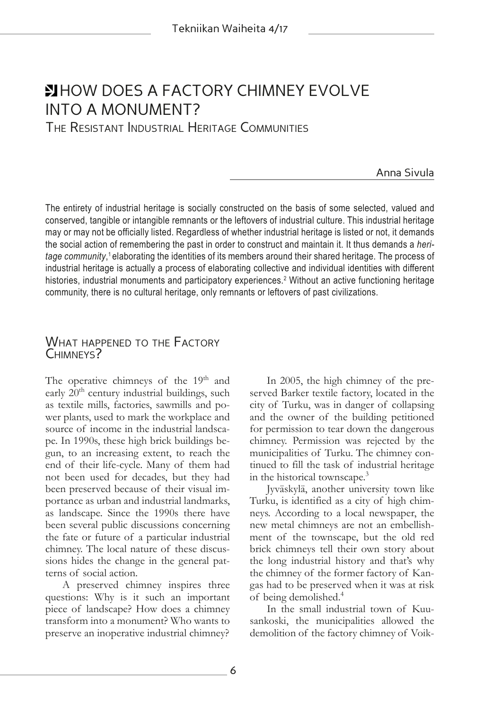# **ELLIST AND DOES A FACTORY CHIMNEY EVOLVE** INTO A MONUMENT?

The Resistant Industrial Heritage Communities

## Anna Sivula

The entirety of industrial heritage is socially constructed on the basis of some selected, valued and conserved, tangible or intangible remnants or the leftovers of industrial culture. This industrial heritage may or may not be officially listed. Regardless of whether industrial heritage is listed or not, it demands the social action of remembering the past in order to construct and maintain it. It thus demands a *heritage community*, 1 elaborating the identities of its members around their shared heritage. The process of industrial heritage is actually a process of elaborating collective and individual identities with different histories, industrial monuments and participatory experiences.<sup>2</sup> Without an active functioning heritage community, there is no cultural heritage, only remnants or leftovers of past civilizations.

# WHAT HAPPENED TO THE FACTORY CHIMNEYS?

The operative chimneys of the  $19<sup>th</sup>$  and early  $20<sup>th</sup>$  century industrial buildings, such as textile mills, factories, sawmills and power plants, used to mark the workplace and source of income in the industrial landscape. In 1990s, these high brick buildings begun, to an increasing extent, to reach the end of their life-cycle. Many of them had not been used for decades, but they had been preserved because of their visual importance as urban and industrial landmarks, as landscape. Since the 1990s there have been several public discussions concerning the fate or future of a particular industrial chimney. The local nature of these discussions hides the change in the general patterns of social action.

A preserved chimney inspires three questions: Why is it such an important piece of landscape? How does a chimney transform into a monument? Who wants to preserve an inoperative industrial chimney?

In 2005, the high chimney of the preserved Barker textile factory, located in the city of Turku, was in danger of collapsing and the owner of the building petitioned for permission to tear down the dangerous chimney. Permission was rejected by the municipalities of Turku. The chimney continued to fill the task of industrial heritage in the historical townscape.3

Jyväskylä, another university town like Turku, is identified as a city of high chimneys. According to a local newspaper, the new metal chimneys are not an embellishment of the townscape, but the old red brick chimneys tell their own story about the long industrial history and that's why the chimney of the former factory of Kangas had to be preserved when it was at risk of being demolished.4

In the small industrial town of Kuusankoski, the municipalities allowed the demolition of the factory chimney of Voik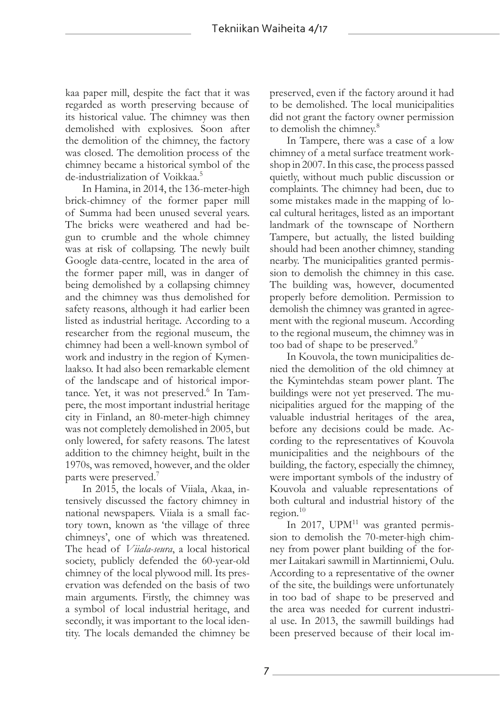kaa paper mill, despite the fact that it was regarded as worth preserving because of its historical value. The chimney was then demolished with explosives. Soon after the demolition of the chimney, the factory was closed. The demolition process of the chimney became a historical symbol of the de-industrialization of Voikkaa.5

In Hamina, in 2014, the 136-meter-high brick-chimney of the former paper mill of Summa had been unused several years. The bricks were weathered and had begun to crumble and the whole chimney was at risk of collapsing. The newly built Google data-centre, located in the area of the former paper mill, was in danger of being demolished by a collapsing chimney and the chimney was thus demolished for safety reasons, although it had earlier been listed as industrial heritage. According to a researcher from the regional museum, the chimney had been a well-known symbol of work and industry in the region of Kymenlaakso. It had also been remarkable element of the landscape and of historical importance. Yet, it was not preserved.<sup>6</sup> In Tampere, the most important industrial heritage city in Finland, an 80-meter-high chimney was not completely demolished in 2005, but only lowered, for safety reasons. The latest addition to the chimney height, built in the 1970s, was removed, however, and the older parts were preserved.7

In 2015, the locals of Viiala, Akaa, intensively discussed the factory chimney in national newspapers. Viiala is a small factory town, known as 'the village of three chimneys', one of which was threatened. The head of *Viiala-seura*, a local historical society, publicly defended the 60-year-old chimney of the local plywood mill. Its preservation was defended on the basis of two main arguments. Firstly, the chimney was a symbol of local industrial heritage, and secondly, it was important to the local identity. The locals demanded the chimney be preserved, even if the factory around it had to be demolished. The local municipalities did not grant the factory owner permission to demolish the chimney.<sup>8</sup>

In Tampere, there was a case of a low chimney of a metal surface treatment workshop in 2007. In this case, the process passed quietly, without much public discussion or complaints. The chimney had been, due to some mistakes made in the mapping of local cultural heritages, listed as an important landmark of the townscape of Northern Tampere, but actually, the listed building should had been another chimney, standing nearby. The municipalities granted permission to demolish the chimney in this case. The building was, however, documented properly before demolition. Permission to demolish the chimney was granted in agreement with the regional museum. According to the regional museum, the chimney was in too bad of shape to be preserved.<sup>9</sup>

In Kouvola, the town municipalities denied the demolition of the old chimney at the Kymintehdas steam power plant. The buildings were not yet preserved. The municipalities argued for the mapping of the valuable industrial heritages of the area, before any decisions could be made. According to the representatives of Kouvola municipalities and the neighbours of the building, the factory, especially the chimney, were important symbols of the industry of Kouvola and valuable representations of both cultural and industrial history of the region. $10$ 

In 2017,  $UPM<sup>11</sup>$  was granted permission to demolish the 70-meter-high chimney from power plant building of the former Laitakari sawmill in Martinniemi, Oulu. According to a representative of the owner of the site, the buildings were unfortunately in too bad of shape to be preserved and the area was needed for current industrial use. In 2013, the sawmill buildings had been preserved because of their local im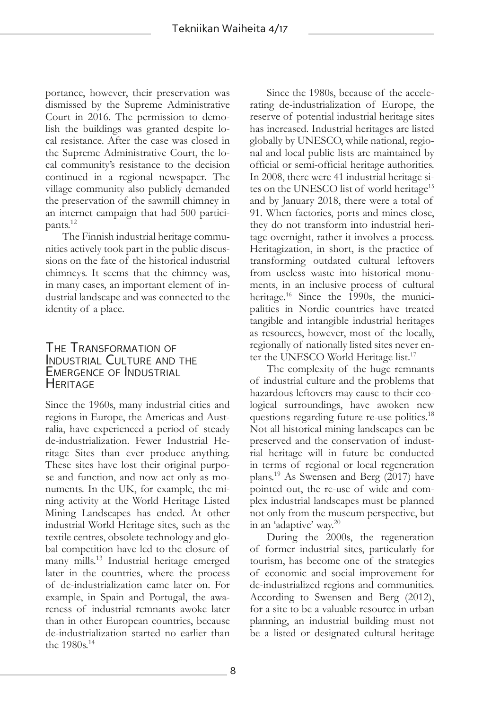portance, however, their preservation was dismissed by the Supreme Administrative Court in 2016. The permission to demolish the buildings was granted despite local resistance. After the case was closed in the Supreme Administrative Court, the local community's resistance to the decision continued in a regional newspaper. The village community also publicly demanded the preservation of the sawmill chimney in an internet campaign that had 500 participants.12

The Finnish industrial heritage communities actively took part in the public discussions on the fate of the historical industrial chimneys. It seems that the chimney was, in many cases, an important element of industrial landscape and was connected to the identity of a place.

## The Transformation of Industrial Culture and the Emergence of Industrial **HERITAGE**

Since the 1960s, many industrial cities and regions in Europe, the Americas and Australia, have experienced a period of steady de-industrialization. Fewer Industrial Heritage Sites than ever produce anything. These sites have lost their original purpose and function, and now act only as monuments. In the UK, for example, the mining activity at the World Heritage Listed Mining Landscapes has ended. At other industrial World Heritage sites, such as the textile centres, obsolete technology and global competition have led to the closure of many mills.13 Industrial heritage emerged later in the countries, where the process of de-industrialization came later on. For example, in Spain and Portugal, the awareness of industrial remnants awoke later than in other European countries, because de-industrialization started no earlier than the 1980s.14

Since the 1980s, because of the accelerating de-industrialization of Europe, the reserve of potential industrial heritage sites has increased. Industrial heritages are listed globally by UNESCO, while national, regional and local public lists are maintained by official or semi-official heritage authorities. In 2008, there were 41 industrial heritage sites on the UNESCO list of world heritage<sup>15</sup> and by January 2018, there were a total of 91. When factories, ports and mines close, they do not transform into industrial heritage overnight, rather it involves a process. Heritagization, in short, is the practice of transforming outdated cultural leftovers from useless waste into historical monuments, in an inclusive process of cultural heritage.<sup>16</sup> Since the 1990s, the municipalities in Nordic countries have treated tangible and intangible industrial heritages as resources, however, most of the locally, regionally of nationally listed sites never enter the UNESCO World Heritage list.<sup>17</sup>

The complexity of the huge remnants of industrial culture and the problems that hazardous leftovers may cause to their ecological surroundings, have awoken new questions regarding future re-use politics.<sup>18</sup> Not all historical mining landscapes can be preserved and the conservation of industrial heritage will in future be conducted in terms of regional or local regeneration plans.19 As Swensen and Berg (2017) have pointed out, the re-use of wide and complex industrial landscapes must be planned not only from the museum perspective, but in an 'adaptive' way.20

During the 2000s, the regeneration of former industrial sites, particularly for tourism, has become one of the strategies of economic and social improvement for de-industrialized regions and communities. According to Swensen and Berg (2012), for a site to be a valuable resource in urban planning, an industrial building must not be a listed or designated cultural heritage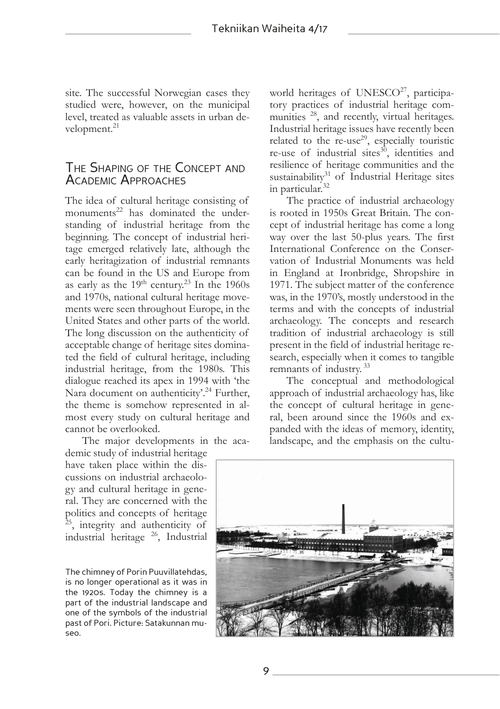site. The successful Norwegian cases they studied were, however, on the municipal level, treated as valuable assets in urban development.<sup>21</sup>

# The Shaping of the Concept and Academic Approaches

The idea of cultural heritage consisting of monuments<sup>22</sup> has dominated the understanding of industrial heritage from the beginning. The concept of industrial heritage emerged relatively late, although the early heritagization of industrial remnants can be found in the US and Europe from as early as the  $19<sup>th</sup>$  century.<sup>23</sup> In the 1960s and 1970s, national cultural heritage movements were seen throughout Europe, in the United States and other parts of the world. The long discussion on the authenticity of acceptable change of heritage sites dominated the field of cultural heritage, including industrial heritage, from the 1980s. This dialogue reached its apex in 1994 with 'the Nara document on authenticity'.<sup>24</sup> Further, the theme is somehow represented in almost every study on cultural heritage and cannot be overlooked.

The major developments in the aca-

demic study of industrial heritage have taken place within the discussions on industrial archaeology and cultural heritage in general. They are concerned with the politics and concepts of heritage <sup>25</sup>, integrity and authenticity of industrial heritage 26, Industrial

The chimney of Porin Puuvillatehdas, is no longer operational as it was in the 1920s. Today the chimney is a part of the industrial landscape and one of the symbols of the industrial past of Pori. Picture: Satakunnan museo.

world heritages of UNESCO<sup>27</sup>, participatory practices of industrial heritage communities <sup>28</sup>, and recently, virtual heritages. Industrial heritage issues have recently been related to the  $re$ -use<sup>29</sup>, especially touristic re-use of industrial sites $30$ , identities and resilience of heritage communities and the sustainability<sup>31</sup> of Industrial Heritage sites in particular.<sup>32</sup>

The practice of industrial archaeology is rooted in 1950s Great Britain. The concept of industrial heritage has come a long way over the last 50-plus years. The first International Conference on the Conservation of Industrial Monuments was held in England at Ironbridge, Shropshire in 1971. The subject matter of the conference was, in the 1970's, mostly understood in the terms and with the concepts of industrial archaeology. The concepts and research tradition of industrial archaeology is still present in the field of industrial heritage research, especially when it comes to tangible remnants of industry. 33

The conceptual and methodological approach of industrial archaeology has, like the concept of cultural heritage in general, been around since the 1960s and expanded with the ideas of memory, identity, landscape, and the emphasis on the cultu-

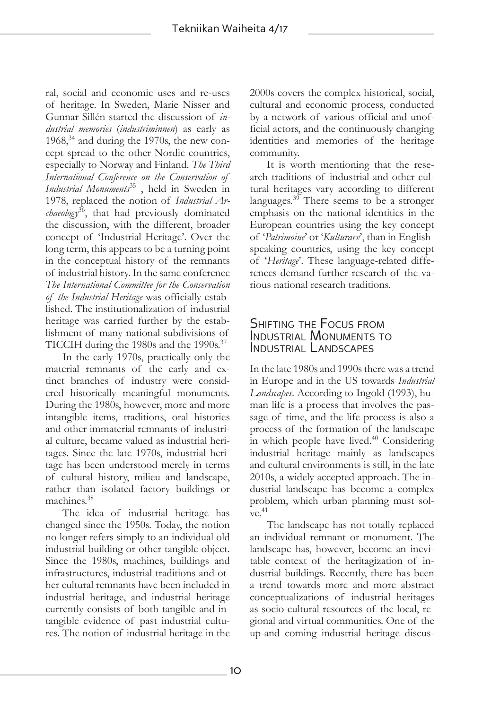ral, social and economic uses and re-uses of heritage. In Sweden, Marie Nisser and Gunnar Sillén started the discussion of *industrial memories* (*industriminnen*) as early as  $1968<sup>34</sup>$  and during the 1970s, the new concept spread to the other Nordic countries, especially to Norway and Finland. *The Third International Conference on the Conservation of Industrial Monuments*35 , held in Sweden in 1978, replaced the notion of *Industrial Archaeology*36, that had previously dominated the discussion, with the different, broader concept of 'Industrial Heritage'. Over the long term, this appears to be a turning point in the conceptual history of the remnants of industrial history. In the same conference *The International Committee for the Conservation of the Industrial Heritage* was officially established. The institutionalization of industrial heritage was carried further by the establishment of many national subdivisions of TICCIH during the 1980s and the 1990s.<sup>37</sup>

In the early 1970s, practically only the material remnants of the early and extinct branches of industry were considered historically meaningful monuments. During the 1980s, however, more and more intangible items, traditions, oral histories and other immaterial remnants of industrial culture, became valued as industrial heritages. Since the late 1970s, industrial heritage has been understood merely in terms of cultural history, milieu and landscape, rather than isolated factory buildings or machines.38

The idea of industrial heritage has changed since the 1950s. Today, the notion no longer refers simply to an individual old industrial building or other tangible object. Since the 1980s, machines, buildings and infrastructures, industrial traditions and other cultural remnants have been included in industrial heritage, and industrial heritage currently consists of both tangible and intangible evidence of past industrial cultures. The notion of industrial heritage in the

2000s covers the complex historical, social, cultural and economic process, conducted by a network of various official and unofficial actors, and the continuously changing identities and memories of the heritage community.

It is worth mentioning that the research traditions of industrial and other cultural heritages vary according to different languages.<sup>39</sup> There seems to be a stronger emphasis on the national identities in the European countries using the key concept of '*Patrimoine*' or '*Kulturarv*', than in Englishspeaking countries, using the key concept of '*Heritage*'. These language-related differences demand further research of the various national research traditions.

# Shifting the Focus from Industrial Monuments to Industrial Landscapes

In the late 1980s and 1990s there was a trend in Europe and in the US towards *Industrial Landscapes*. According to Ingold (1993), human life is a process that involves the passage of time, and the life process is also a process of the formation of the landscape in which people have lived.<sup>40</sup> Considering industrial heritage mainly as landscapes and cultural environments is still, in the late 2010s, a widely accepted approach. The industrial landscape has become a complex problem, which urban planning must sol $ve.<sup>41</sup>$ 

The landscape has not totally replaced an individual remnant or monument. The landscape has, however, become an inevitable context of the heritagization of industrial buildings. Recently, there has been a trend towards more and more abstract conceptualizations of industrial heritages as socio-cultural resources of the local, regional and virtual communities. One of the up-and coming industrial heritage discus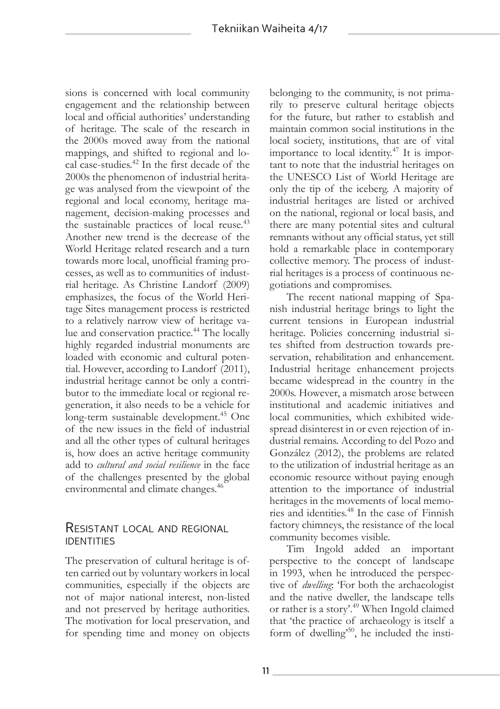sions is concerned with local community engagement and the relationship between local and official authorities' understanding of heritage. The scale of the research in the 2000s moved away from the national mappings, and shifted to regional and local case-studies.<sup>42</sup> In the first decade of the 2000s the phenomenon of industrial heritage was analysed from the viewpoint of the regional and local economy, heritage management, decision-making processes and the sustainable practices of local reuse.<sup>43</sup> Another new trend is the decrease of the World Heritage related research and a turn towards more local, unofficial framing processes, as well as to communities of industrial heritage. As Christine Landorf (2009) emphasizes, the focus of the World Heritage Sites management process is restricted to a relatively narrow view of heritage value and conservation practice.<sup>44</sup> The locally highly regarded industrial monuments are loaded with economic and cultural potential. However, according to Landorf (2011), industrial heritage cannot be only a contributor to the immediate local or regional regeneration, it also needs to be a vehicle for long-term sustainable development.<sup>45</sup> One of the new issues in the field of industrial and all the other types of cultural heritages is, how does an active heritage community add to *cultural and social resilience* in the face of the challenges presented by the global environmental and climate changes.<sup>46</sup>

## Resistant local and regional **IDENTITIES**

The preservation of cultural heritage is often carried out by voluntary workers in local communities, especially if the objects are not of major national interest, non-listed and not preserved by heritage authorities. The motivation for local preservation, and for spending time and money on objects belonging to the community, is not primarily to preserve cultural heritage objects for the future, but rather to establish and maintain common social institutions in the local society, institutions, that are of vital importance to local identity.<sup>47</sup> It is important to note that the industrial heritages on the UNESCO List of World Heritage are only the tip of the iceberg. A majority of industrial heritages are listed or archived on the national, regional or local basis, and there are many potential sites and cultural remnants without any official status, yet still hold a remarkable place in contemporary collective memory. The process of industrial heritages is a process of continuous negotiations and compromises.

The recent national mapping of Spanish industrial heritage brings to light the current tensions in European industrial heritage. Policies concerning industrial sites shifted from destruction towards preservation, rehabilitation and enhancement. Industrial heritage enhancement projects became widespread in the country in the 2000s. However, a mismatch arose between institutional and academic initiatives and local communities, which exhibited widespread disinterest in or even rejection of industrial remains. According to del Pozo and González (2012), the problems are related to the utilization of industrial heritage as an economic resource without paying enough attention to the importance of industrial heritages in the movements of local memories and identities.48 In the case of Finnish factory chimneys, the resistance of the local community becomes visible.

Tim Ingold added an important perspective to the concept of landscape in 1993, when he introduced the perspective of *dwelling*: 'For both the archaeologist and the native dweller, the landscape tells or rather is a story'.<sup>49</sup> When Ingold claimed that 'the practice of archaeology is itself a form of dwelling<sup>50</sup>, he included the insti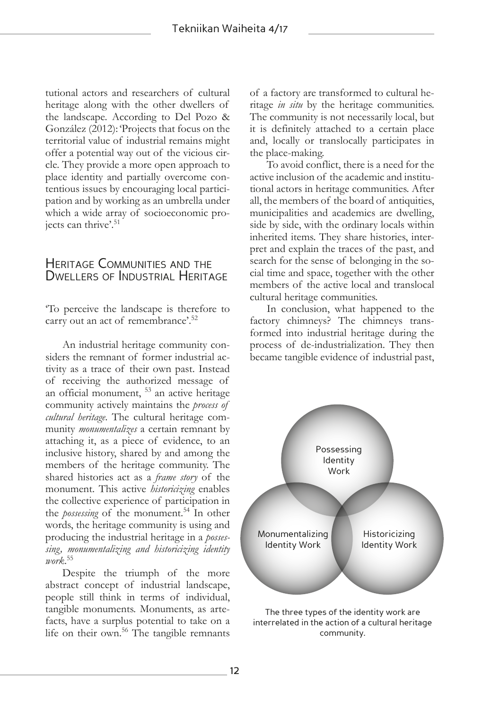tutional actors and researchers of cultural heritage along with the other dwellers of the landscape. According to Del Pozo & González (2012): 'Projects that focus on the territorial value of industrial remains might offer a potential way out of the vicious circle. They provide a more open approach to place identity and partially overcome contentious issues by encouraging local participation and by working as an umbrella under which a wide array of socioeconomic projects can thrive'.<sup>51</sup>

# Heritage Communities and the DWELLERS OF INDUSTRIAL HERITAGE

'To perceive the landscape is therefore to carry out an act of remembrance'.<sup>52</sup>

An industrial heritage community considers the remnant of former industrial activity as a trace of their own past. Instead of receiving the authorized message of an official monument, 53 an active heritage community actively maintains the *process of cultural heritage*. The cultural heritage community *monumentalizes* a certain remnant by attaching it, as a piece of evidence, to an inclusive history, shared by and among the members of the heritage community. The shared histories act as a *frame story* of the monument. This active *historicizing* enables the collective experience of participation in the *possessing* of the monument.<sup>54</sup> In other words, the heritage community is using and producing the industrial heritage in a *possessing, monumentalizing and historicizing identity work*. 55

Despite the triumph of the more abstract concept of industrial landscape, people still think in terms of individual, tangible monuments. Monuments, as artefacts, have a surplus potential to take on a life on their own.<sup>56</sup> The tangible remnants of a factory are transformed to cultural heritage *in situ* by the heritage communities. The community is not necessarily local, but it is definitely attached to a certain place and, locally or translocally participates in the place-making.

To avoid conflict, there is a need for the active inclusion of the academic and institutional actors in heritage communities. After all, the members of the board of antiquities, municipalities and academics are dwelling, side by side, with the ordinary locals within inherited items. They share histories, interpret and explain the traces of the past, and search for the sense of belonging in the social time and space, together with the other members of the active local and translocal cultural heritage communities.

In conclusion, what happened to the factory chimneys? The chimneys transformed into industrial heritage during the process of de-industrialization. They then became tangible evidence of industrial past,



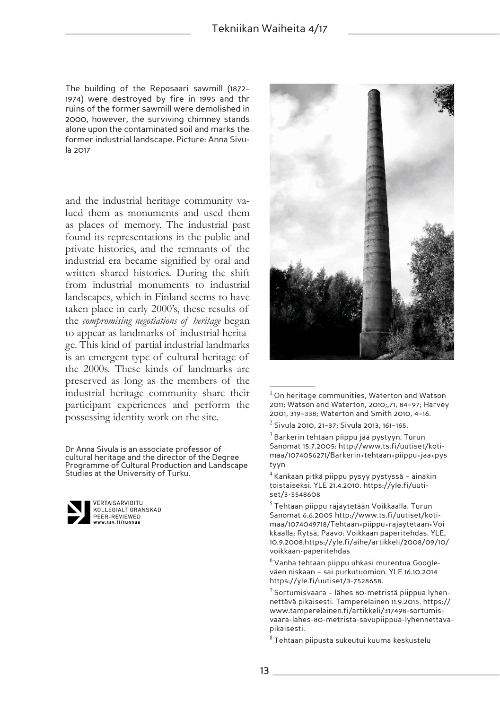The building of the Reposaari sawmill (1872– 1974) were destroyed by fire in 1995 and thr ruins of the former sawmill were demolished in 2000, however, the surviving chimney stands alone upon the contaminated soil and marks the former industrial landscape. Picture: Anna Sivula 2017

and the industrial heritage community valued them as monuments and used them as places of memory. The industrial past found its representations in the public and private histories, and the remnants of the industrial era became signified by oral and written shared histories. During the shift from industrial monuments to industrial landscapes, which in Finland seems to have taken place in early 2000's, these results of the *compromising negotiations of heritage* began to appear as landmarks of industrial heritage. This kind of partial industrial landmarks is an emergent type of cultural heritage of the 2000s. These kinds of landmarks are preserved as long as the members of the industrial heritage community share their participant experiences and perform the possessing identity work on the site.

Dr Anna Sivula is an associate professor of cultural heritage and the director of the Degree Programme of Cultural Production and Landscape Studies at the University of Turku.



VERTAISARVIOITU KOLLEGIALT GRANSKAD PEER-REVIEWED ...-........<br>v.tsv.fi/tunn



<sup>&</sup>lt;sup>1</sup> On heritage communities, Waterton and Watson 2011; Watson and Waterton, 2010;,71, 84–97; Harvey 2001, 319–338; Waterton and Smith 2010, 4–16.

 $^3$  Barkerin tehtaan piippu jää pystyyn. Turun Sanomat 15.7.2005: http://www.ts.fi/uutiset/kotimaa/1074056271/Barkerin+tehtaan+piippu+jaa+pys tyyn

<sup>4</sup>Kankaan pitkä piippu pysyy pystyssä – ainakin toistaiseksi. YLE 21.4.2010. https://yle.fi/uutiset/3-5548608

 $^5$ Tehtaan piippu räjäytetään Voikkaalla. Turun Sanomat 6.6.2005 http://www.ts.fi/uutiset/kotimaa/1074049718/Tehtaan+piippu+rajaytetaan+Voi kkaalla; Rytsä, Paavo: Voikkaan paperitehdas. YLE, 10.9.2008.https://yle.fi/aihe/artikkeli/2008/09/10/ voikkaan-paperitehdas

 $^6$  Vanha tehtaan piippu uhkasi murentua Googleväen niskaan – sai purkutuomion. YLE 16.10.2014 https://yle.fi/uutiset/3-7528658.

 $7$  Sortumisvaara – lähes 80-metristä piippua lyhennettävä pikaisesti. Tamperelainen 11.9.2015. https:// www.tamperelainen.fi/artikkeli/317498-sortumisvaara-lahes-80-metrista-savupiippua-lyhennettavapikaisesti.

 $^8$ Tehtaan piipusta sukeutui kuuma keskustelu

 $2$  Sivula 2010, 21–37; Sivula 2013, 161–165.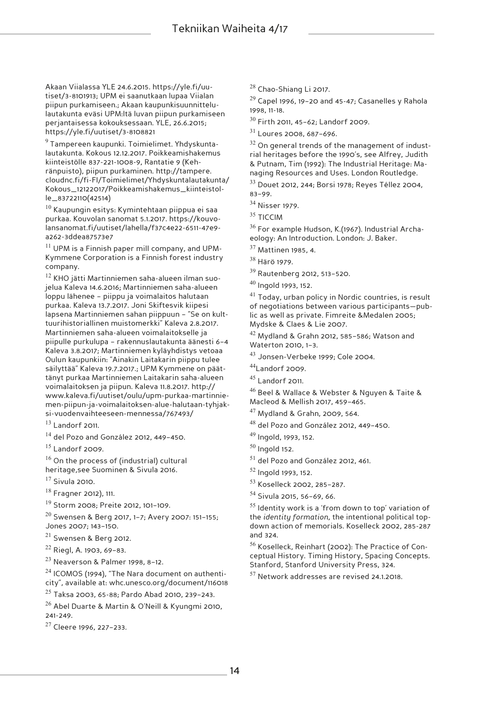Akaan Viialassa YLE 24.6.2015. https://yle.fi/uutiset/3-8101913; UPM ei saanutkaan lupaa Viialan piipun purkamiseen.; Akaan kaupunkisuunnittelulautakunta eväsi UPM:ltä luvan piipun purkamiseen perjantaisessa kokouksessaan. YLE, 26.6.2015; https://yle.fi/uutiset/3-8108821

<sup>9</sup>Tampereen kaupunki. Toimielimet. Yhdyskuntalautakunta. Kokous 12.12.2017. Poikkeamishakemus kiinteistölle 837-221-1008-9, Rantatie 9 (Kehränpuisto), piipun purkaminen. http://tampere. cloudnc.fi/fi-FI/Toimielimet/Yhdyskuntalautakunta/ Kokous\_12122017/Poikkeamishakemus\_kiinteistolle\_83722110(42514)

 $10$  Kaupungin esitys: Kymintehtaan piippua ei saa purkaa. Kouvolan sanomat 5.1.2017. https://kouvolansanomat.fi/uutiset/lahella/f37c4e22-6511-47e9 a262-3ddea87573e7

 $11$  UPM is a Finnish paper mill company, and UPM-Kymmene Corporation is a Finnish forest industry company.

<sup>12</sup> KHO jätti Martinniemen saha-alueen ilman suojelua Kaleva 14.6.2016; Martinniemen saha-alueen loppu lähenee – piippu ja voimalaitos halutaan purkaa. Kaleva 13.7.2017. Joni Skiftesvik kiipesi lapsena Martinniemen sahan piippuun – "Se on kulttuurihistoriallinen muistomerkki" Kaleva 2.8.2017. Martinniemen saha-alueen voimalaitokselle ja piipulle purkulupa – rakennuslautakunta äänesti 6–4 Kaleva 3.8.2017; Martinniemen kyläyhdistys vetoaa Oulun kaupunkiin: "Ainakin Laitakarin piippu tulee säilyttää" Kaleva 19.7.2017.; UPM Kymmene on päättänyt purkaa Martinniemen Laitakarin saha-alueen voimalaitoksen ja piipun. Kaleva 11.8.2017. http:// www.kaleva.fi/uutiset/oulu/upm-purkaa-martinniemen-piipun-ja-voimalaitoksen-alue-halutaan-tyhjaksi-vuodenvaihteeseen-mennessa/767493/ <sup>13</sup> Landorf 2011.

<sup>14</sup> del Pozo and González 2012, 449–450.

 $15$  Landorf 2009.

 $16$  On the process of (industrial) cultural heritage,see Suominen & Sivula 2016.

 $17$  Sivula 2010.

<sup>18</sup> Fragner 2012), 111.

<sup>19</sup> Storm 2008; Preite 2012, 101–109.

 $^{20}$  Swensen & Berg 2017, 1-7; Avery 2007: 151-155; Jones 2007; 143–150.

<sup>21</sup> Swensen & Berg 2012.

<sup>22</sup> Riegl, A. 1903, 69–83.

<sup>23</sup> Neaverson & Palmer 1998, 8–12.

<sup>24</sup> ICOMOS (1994), "The Nara document on authenticity", available at: whc.unesco.org/document/116018

<sup>25</sup> Taksa 2003, 65-88; Pardo Abad 2010, 239–243.

<sup>26</sup> Abel Duarte & Martin & O'Neill & Kyungmi 2010, 241-249.

<sup>27</sup> Cleere 1996, 227–233.

<sup>28</sup> Chao-Shiang Li 2017.

 $29$  Capel 1996, 19-20 and 45-47; Casanelles y Rahola 1998, 11-18.

<sup>30</sup> Firth 2011, 45–62; Landorf 2009.

<sup>31</sup> Loures 2008, 687–696.

 $32$  On general trends of the management of industrial heritages before the 1990's, see Alfrey, Judith & Putnam, Tim (1992): The Industrial Heritage: Managing Resources and Uses. London Routledge.

<sup>33</sup> Douet 2012, 244; Borsi 1978; Reyes Téllez 2004, 83–99.

<sup>34</sup> Nisser 1979.

<sup>35</sup> TICCIM

<sup>36</sup> For example Hudson, K.(1967). Industrial Archaeology: An Introduction. London: J. Baker.

<sup>37</sup> Mattinen 1985, 4.

<sup>38</sup> Härö 1979.

<sup>39</sup> Rautenberg 2012, 513–520.

<sup>40</sup> Ingold 1993, 152.

 $41$  Today, urban policy in Nordic countries, is result of negotiations between various participants—public as well as private. Fimreite &Medalen 2005; Mydske & Claes & Lie 2007.

<sup>42</sup> Mydland & Grahn 2012, 585–586; Watson and Waterton 2010, 1–3.

<sup>43</sup> Jonsen-Verbeke 1999; Cole 2004.

<sup>44</sup>Landorf 2009.

<sup>45</sup> Landorf 2011.

<sup>46</sup> Beel & Wallace & Webster & Nguyen & Taite & Macleod & Mellish 2017, 459–465.

<sup>47</sup> Mydland & Grahn, 2009, 564.

<sup>48</sup> del Pozo and González 2012, 449–450.

<sup>49</sup> Ingold, 1993, 152.

 $50$  Ingold 152.

<sup>51</sup> del Pozo and González 2012, 461.

<sup>52</sup> Ingold 1993, 152.

<sup>53</sup> Koselleck 2002, 285–287.

<sup>54</sup> Sivula 2015, 56–69, 66.

 $55$  Identity work is a 'from down to top' variation of the *identity formation,* the intentional political topdown action of memorials. Koselleck 2002, 285-287 and 324.

<sup>56</sup> Koselleck, Reinhart (2002): The Practice of Conceptual History. Timing History, Spacing Concepts. Stanford, Stanford University Press, 324.

<sup>57</sup> Network addresses are revised 24.1.2018.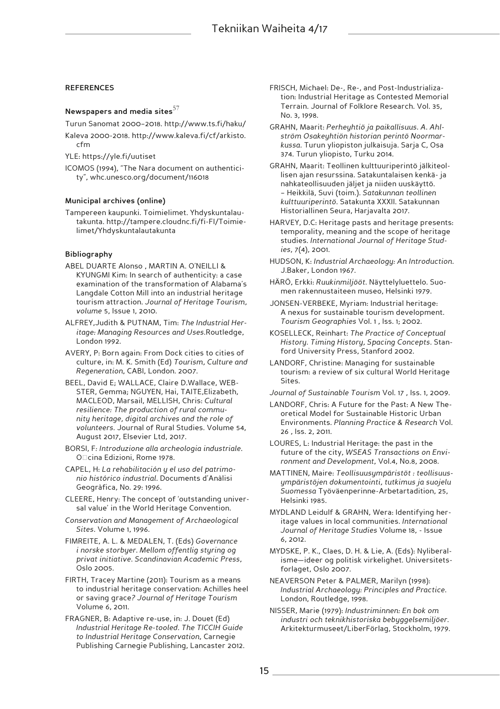#### **REFERENCES**

### **Newspapers and media sites**<sup>57</sup>

Turun Sanomat 2000–2018. http://www.ts.fi/haku/

Kaleva 2000-2018. http://www.kaleva.fi/cf/arkisto. cfm

YLE: https://yle.fi/uutiset

ICOMOS (1994), "The Nara document on authenticity", whc.unesco.org/document/116018

#### **Municipal archives (online)**

Tampereen kaupunki. Toimielimet. Yhdyskuntalautakunta. http://tampere.cloudnc.fi/fi-FI/Toimielimet/Yhdyskuntalautakunta

#### **Bibliography**

- ABEL DUARTE Alonso , MARTIN A. O'NEILLl & KYUNGMI Kim: In search of authenticity: a case examination of the transformation of Alabama's Langdale Cotton Mill into an industrial heritage tourism attraction. *Journal of Heritage Tourism, volume* 5, Issue 1, 2010.
- ALFREY,Judith & PUTNAM, Tim: *The Industrial Heritage: Managing Resources and Uses*.Routledge, London 1992.
- AVERY, P: Born again: From Dock cities to cities of culture, in: M. K. Smith (Ed) *Tourism, Culture and Regeneration*, CABI, London. 2007.
- BEEL, David E; WALLACE, Claire D.Wallace, WEB-STER, Gemma; NGUYEN, Hai, TAITE,Elizabeth, MACLEOD, Marsail, MELLISH, Chris: *Cultural resilience: The production of rural community heritage, digital archives and the role of volunteers*. Journal of Rural Studies. Volume 54, August 2017, Elsevier Ltd, 2017.
- BORSI, F*: Introduzione alla archeologia industriale*. O $\Box$ cina Edizioni, Rome 1978.
- CAPEL, H: *La rehabilitación y el uso del patrimonio histórico industrial*. Documents d'Anàlisi Geogràfica, No. 29: 1996.
- CLEERE, Henry: The concept of 'outstanding universal value' in the World Heritage Convention.
- *Conservation and Management of Archaeological Sites*. Volume 1, 1996.
- FIMREITE, A. L. & MEDALEN, T. (Eds) *Governance i norske storbyer. Mellom offentlig styring og privat initiative. Scandinavian Academic Press*, Oslo 2005.
- FIRTH, Tracey Martine (2011): Tourism as a means to industrial heritage conservation: Achilles heel or saving grace*? Journal of Heritage Tourism* Volume 6, 2011.
- FRAGNER, B: Adaptive re-use, in: J. Douet (Ed) *Industrial Heritage Re-tooled. The TICCIH Guide to Industrial Heritage Conservation*, Carnegie Publishing Carnegie Publishing, Lancaster 2012.
- FRISCH, Michael: De-, Re-, and Post-Industrialization: Industrial Heritage as Contested Memorial Terrain. Journal of Folklore Research. Vol. 35, No. 3, 1998.
- GRAHN, Maarit: *Perheyhtiö ja paikallisuus. A. Ahlström Osakeyhtiön historian perintö Noormarkussa.* Turun yliopiston julkaisuja. Sarja C, Osa 374. Turun yliopisto, Turku 2014.
- GRAHN, Maarit: Teollinen kulttuuriperintö jälkiteollisen ajan resurssina. Satakuntalaisen kenkä- ja nahkateollisuuden jäljet ja niiden uuskäyttö. – Heikkilä, Suvi (toim.). *Satakunnan teollinen kulttuuriperintö*. Satakunta XXXII. Satakunnan Historiallinen Seura, Harjavalta 2017.
- HARVEY, D.C: Heritage pasts and heritage presents: temporality, meaning and the scope of heritage studies. *International Journal of Heritage Studies*, 7(4), 2001.
- HUDSON, K: *Industrial Archaeology: An Introduction.* J.Baker, London 1967.
- HÄRÖ, Erkki: *Ruukinmiljööt.* Näyttelyluettelo. Suomen rakennustaiteen museo, Helsinki 1979.
- JONSEN-VERBEKE, Myriam: Industrial heritage: A nexus for sustainable tourism development. *Tourism Geographies* Vol. 1 , Iss. 1; 2002.
- KOSELLECK, Reinhart: *The Practice of Conceptual History. Timing History, Spacing Concepts*. Stanford University Press, Stanford 2002.
- LANDORF, Christine: Managing for sustainable tourism: a review of six cultural World Heritage Sites.

*Journal of Sustainable Tourism* Vol. 17 , Iss. 1, 2009.

- LANDORF, Chris: A Future for the Past: A New Theoretical Model for Sustainable Historic Urban Environments. *Planning Practice & Research* Vol. 26 , Iss. 2, 2011.
- LOURES, L: Industrial Heritage: the past in the future of the city, *WSEAS Transactions on Environment and Development*, Vol.4, No.8, 2008.
- MATTINEN, Maire: *Teollisuusympäristöt : teollisuusympäristöjen dokumentointi, tutkimus ja suojelu Suomessa* Työväenperinne-Arbetartadition, 25, Helsinki 1985.
- MYDLAND Leidulf & GRAHN, Wera: Identifying heritage values in local communities*. International Journal of Heritage Studies* Volume 18, - Issue 6, 2012.
- MYDSKE, P. K., Claes, D. H. & Lie, A. (Eds): Nyliberalisme—ideer og politisk virkelighet. Universitetsforlaget, Oslo 2007.
- NEAVERSON Peter & PALMER, Marilyn (1998): *Industrial Archaeology: Principles and Practice*. London, Routledge, 1998.
- NISSER, Marie (1979): *Industriminnen: En bok om industri och teknikhistoriska bebyggelsemiljöer*. Arkitekturmuseet/LiberFörlag, Stockholm, 1979.